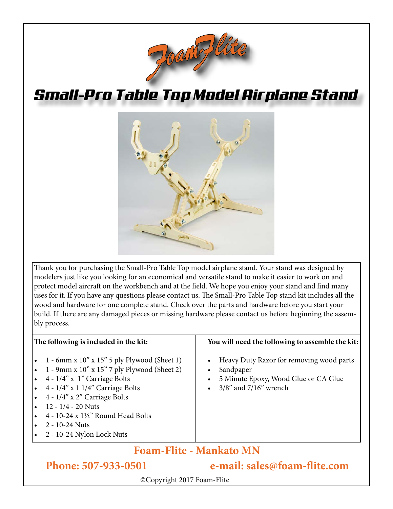

# *Small-Pro Table Top Model Airplane Stand*



Thank you for purchasing the Small-Pro Table Top model airplane stand. Your stand was designed by modelers just like you looking for an economical and versatile stand to make it easier to work on and protect model aircraft on the workbench and at the field. We hope you enjoy your stand and find many uses for it. If you have any questions please contact us. The Small-Pro Table Top stand kit includes all the wood and hardware for one complete stand. Check over the parts and hardware before you start your build. If there are any damaged pieces or missing hardware please contact us before beginning the assembly process.

### **The following is included in the kit:**

- • 1 6mm x 10" x 15" 5 ply Plywood (Sheet 1)
- • 1 9mm x 10" x 15" 7 ply Plywood (Sheet 2)
- $4 1/4$ " x 1" Carriage Bolts
- $4 1/4$ " x 1  $1/4$ " Carriage Bolts
- $4 1/4$ " x 2" Carriage Bolts
- $12 1/4 20$  Nuts
- $4 10 24 \times 1\frac{1}{2}$ " Round Head Bolts
- 2 10-24 Nuts
- 2 10-24 Nylon Lock Nuts

### **You will need the following to assemble the kit:**

- Heavy Duty Razor for removing wood parts
- Sandpaper
- 5 Minute Epoxy, Wood Glue or CA Glue
- $3/8$ " and  $7/16$ " wrench

## **Foam-Flite - Mankato MN**

**Phone: 507-933-0501 e-mail: sales@foam-flite.com**

©Copyright 2017 Foam-Flite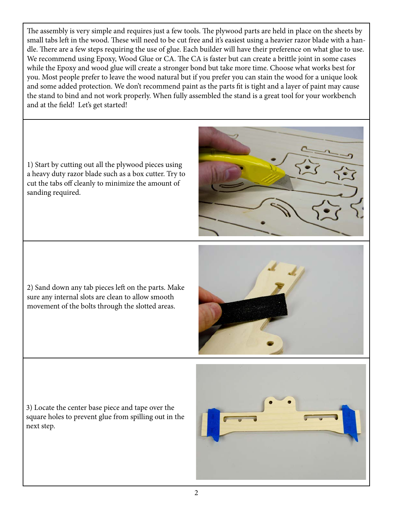The assembly is very simple and requires just a few tools. The plywood parts are held in place on the sheets by small tabs left in the wood. These will need to be cut free and it's easiest using a heavier razor blade with a handle. There are a few steps requiring the use of glue. Each builder will have their preference on what glue to use. We recommend using Epoxy, Wood Glue or CA. The CA is faster but can create a brittle joint in some cases while the Epoxy and wood glue will create a stronger bond but take more time. Choose what works best for you. Most people prefer to leave the wood natural but if you prefer you can stain the wood for a unique look and some added protection. We don't recommend paint as the parts fit is tight and a layer of paint may cause the stand to bind and not work properly. When fully assembled the stand is a great tool for your workbench and at the field! Let's get started!

1) Start by cutting out all the plywood pieces using a heavy duty razor blade such as a box cutter. Try to cut the tabs off cleanly to minimize the amount of sanding required.

2) Sand down any tab pieces left on the parts. Make sure any internal slots are clean to allow smooth movement of the bolts through the slotted areas.



3) Locate the center base piece and tape over the square holes to prevent glue from spilling out in the next step.

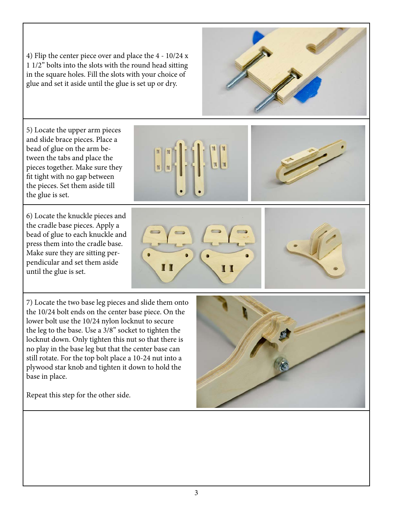4) Flip the center piece over and place the 4 - 10/24 x 1 1/2" bolts into the slots with the round head sitting in the square holes. Fill the slots with your choice of glue and set it aside until the glue is set up or dry.

5) Locate the upper arm pieces and slide brace pieces. Place a bead of glue on the arm between the tabs and place the pieces together. Make sure they fit tight with no gap between the pieces. Set them aside till the glue is set.

6) Locate the knuckle pieces and the cradle base pieces. Apply a bead of glue to each knuckle and press them into the cradle base. Make sure they are sitting perpendicular and set them aside until the glue is set.

7) Locate the two base leg pieces and slide them onto the 10/24 bolt ends on the center base piece. On the lower bolt use the 10/24 nylon locknut to secure the leg to the base. Use a 3/8" socket to tighten the locknut down. Only tighten this nut so that there is no play in the base leg but that the center base can still rotate. For the top bolt place a 10-24 nut into a plywood star knob and tighten it down to hold the base in place.

Repeat this step for the other side.











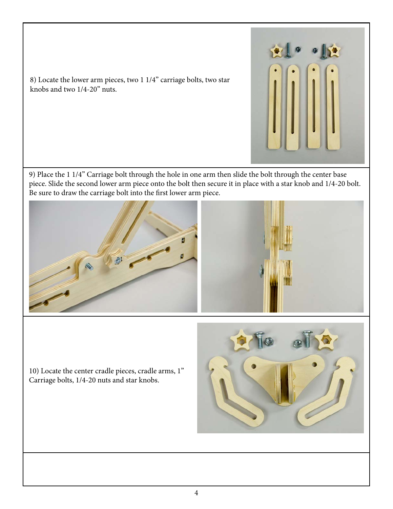

8) Locate the lower arm pieces, two 1 1/4" carriage bolts, two star knobs and two 1/4-20" nuts.

9) Place the 1 1/4" Carriage bolt through the hole in one arm then slide the bolt through the center base piece. Slide the second lower arm piece onto the bolt then secure it in place with a star knob and 1/4-20 bolt. Be sure to draw the carriage bolt into the first lower arm piece.



10) Locate the center cradle pieces, cradle arms, 1" Carriage bolts, 1/4-20 nuts and star knobs.

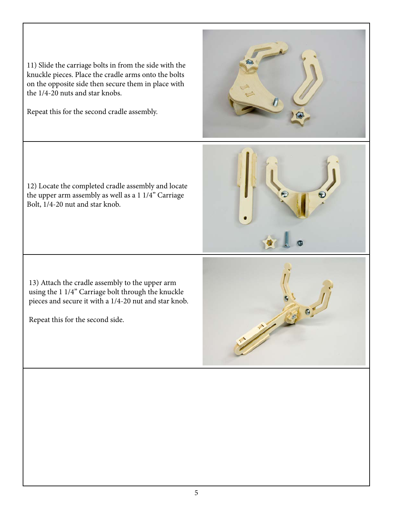11) Slide the carriage bolts in from the side with the knuckle pieces. Place the cradle arms onto the bolts on the opposite side then secure them in place with the 1/4-20 nuts and star knobs.

Repeat this for the second cradle assembly.

12) Locate the completed cradle assembly and locate the upper arm assembly as well as a 1 1/4" Carriage Bolt, 1/4-20 nut and star knob.

13) Attach the cradle assembly to the upper arm using the 1 1/4" Carriage bolt through the knuckle pieces and secure it with a 1/4-20 nut and star knob.

Repeat this for the second side.





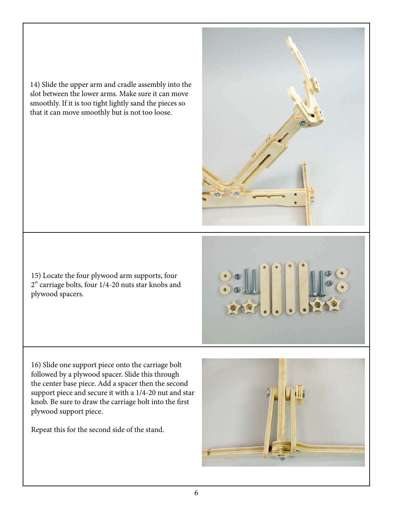14) Slide the upper arm and cradle assembly into the slot between the lower arms. Make sure it can move smoothly. If it is too tight lightly sand the pieces so that it can move smoothly but is not too loose.

15) Locate the four plywood arm supports, four 2" carriage bolts, four 1/4-20 nuts star knobs and plywood spacers.

16) Slide one support piece onto the carriage bolt followed by a plywood spacer. Slide this through the center base piece. Add a spacer then the second support piece and secure it with a 1/4-20 nut and star knob. Be sure to draw the carriage bolt into the first plywood support piece.

Repeat this for the second side of the stand.

6

![](_page_5_Picture_5.jpeg)

![](_page_5_Picture_6.jpeg)

![](_page_5_Picture_7.jpeg)